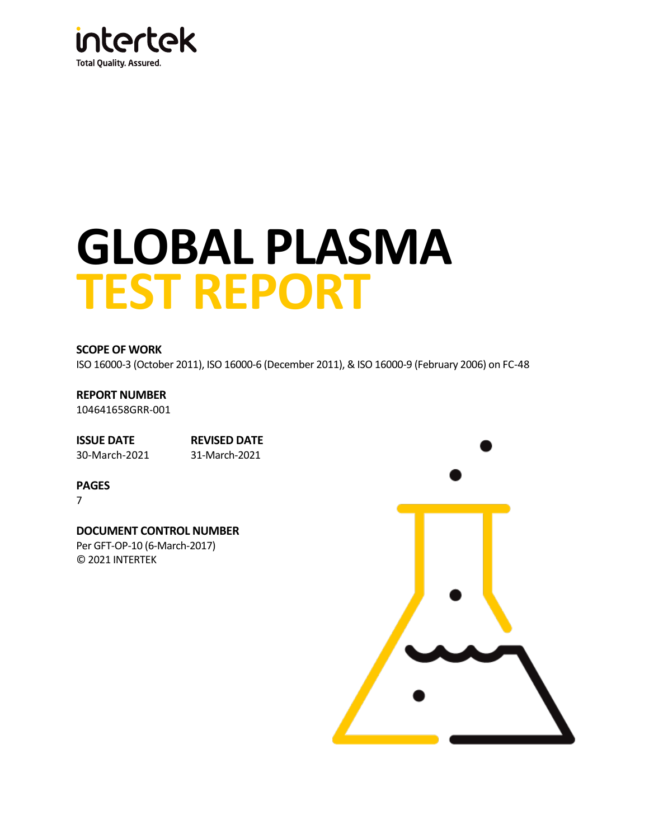

# **GLOBAL PLASMA TEST REPORT**

#### **SCOPE OF WORK**

ISO 16000-3 (October 2011), ISO 16000-6 (December 2011), & ISO 16000-9 (February 2006) o[n FC-48](#page-2-0)

**REPORT NUMBER** [104641658GRR-001](#page-2-1)

**ISSUE DATE REVISED DATE** [30-March-2021](#page-2-2) 31-March-2021

**PAGES**

7

**DOCUMENT CONTROL NUMBER** Per GFT-OP-10 (6-March-2017) © 2021 INTERTEK

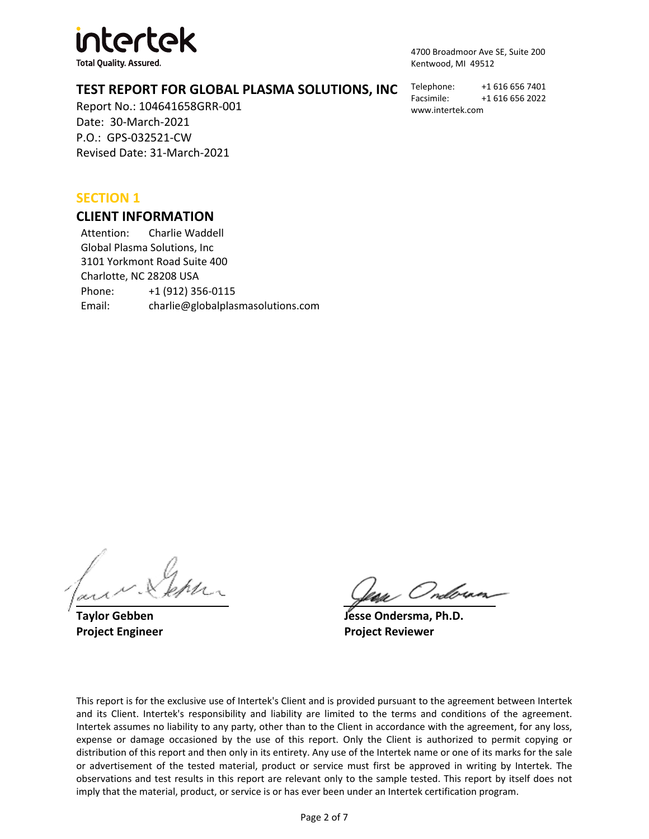

**Total Quality. Assured.** 

4700 Broadmoor Ave SE, Suite 200 Kentwood, MI 49512

# **TEST REPORT FOR GLOBAL PLASMA SOLUTIONS, INC**

Report No.: [104641658GRR-001](#page-2-1) Date: [30-March-2021](#page-2-2) P.O.: [GPS-032521-CW](#page-2-3) Revised Date: 31-March-2021

Telephone: +1 616 656 7401 Facsimile: +1 616 656 2022 www.intertek.com

# **SECTION 1**

#### **CLIENT INFORMATION**

Attention: Charlie Waddell Global Plasma Solutions, Inc 3101 Yorkmont Road Suite 400 Charlotte, NC 28208 USA Phone: +1 (912) 356-0115 Email: charlie@globalplasmasolutions.com

. Ondorae.

**Taylor Gebben Jesse Ondersma, Ph.D. Project Engineer Project Reviewer**

This report is for the exclusive use of Intertek's Client and is provided pursuant to the agreement between Intertek and its Client. Intertek's responsibility and liability are limited to the terms and conditions of the agreement. Intertek assumes no liability to any party, other than to the Client in accordance with the agreement, for any loss, expense or damage occasioned by the use of this report. Only the Client is authorized to permit copying or distribution of this report and then only in its entirety. Any use of the Intertek name or one of its marks for the sale or advertisement of the tested material, product or service must first be approved in writing by Intertek. The observations and test results in this report are relevant only to the sample tested. This report by itself does not imply that the material, product, or service is or has ever been under an Intertek certification program.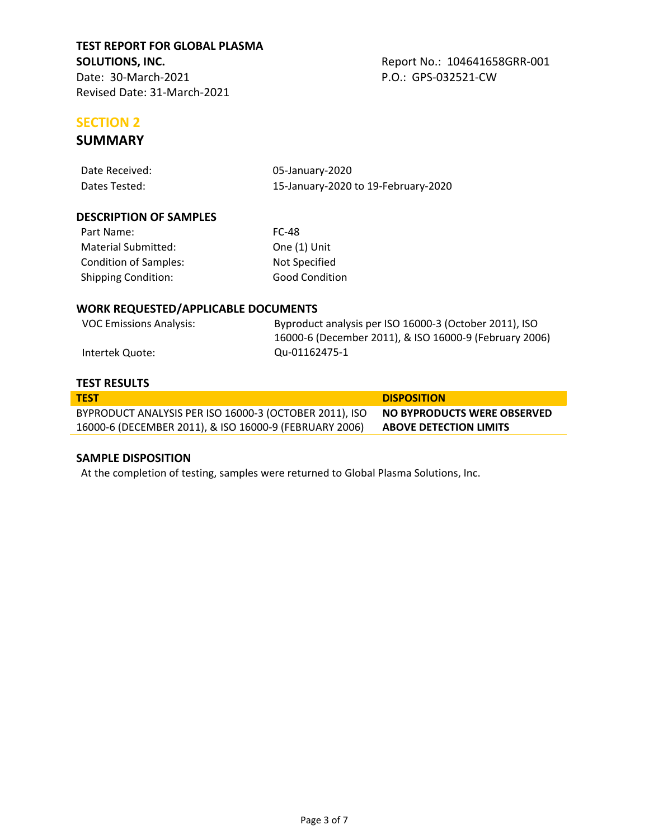<span id="page-2-4"></span><span id="page-2-3"></span><span id="page-2-1"></span>

# <span id="page-2-2"></span>**SECTION 2**

# **SUMMARY**

<span id="page-2-7"></span><span id="page-2-6"></span><span id="page-2-5"></span><span id="page-2-0"></span>

| Date Received:                             | 05-January-2020                                                                                                  |  |  |
|--------------------------------------------|------------------------------------------------------------------------------------------------------------------|--|--|
| Dates Tested:                              | 15-January-2020 to 19-February-2020                                                                              |  |  |
|                                            |                                                                                                                  |  |  |
| <b>DESCRIPTION OF SAMPLES</b>              |                                                                                                                  |  |  |
| Part Name:                                 | <b>FC-48</b>                                                                                                     |  |  |
| Material Submitted:                        | One (1) Unit                                                                                                     |  |  |
| <b>Condition of Samples:</b>               | Not Specified                                                                                                    |  |  |
| <b>Shipping Condition:</b>                 | <b>Good Condition</b>                                                                                            |  |  |
| <b>WORK REQUESTED/APPLICABLE DOCUMENTS</b> |                                                                                                                  |  |  |
|                                            |                                                                                                                  |  |  |
| <b>VOC Emissions Analysis:</b>             | Byproduct analysis per ISO 16000-3 (October 2011), ISO<br>16000-6 (December 2011), & ISO 16000-9 (February 2006) |  |  |
| Intertek Quote:                            | Qu-01162475-1                                                                                                    |  |  |

#### **TEST RESULTS**

| <b>TEST</b>                                            | <b>DISPOSITION</b>            |
|--------------------------------------------------------|-------------------------------|
| BYPRODUCT ANALYSIS PER ISO 16000-3 (OCTOBER 2011), ISO | NO BYPRODUCTS WERE OBSERVED   |
| 16000-6 (DECEMBER 2011), & ISO 16000-9 (FEBRUARY 2006) | <b>ABOVE DETECTION LIMITS</b> |

#### **SAMPLE DISPOSITION**

At the completion of testing, samples were returned to Global Plasma Solutions, Inc.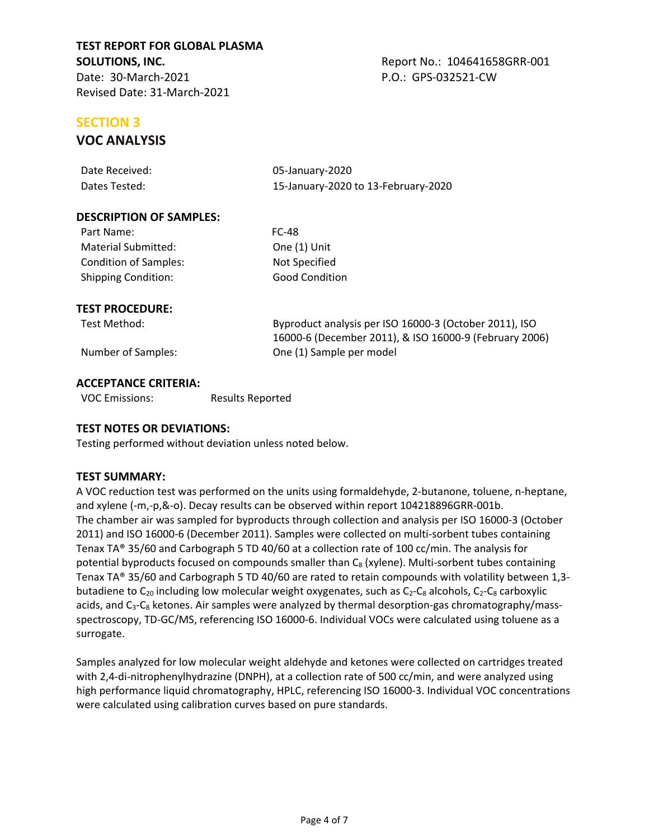# **SECTION 3**

# **VOC ANALYSIS**

| Date Received: | 05-January-2020                     |
|----------------|-------------------------------------|
| Dates Tested:  | 15-January-2020 to 13-February-2020 |

#### **DESCRIPTION OF SAMPLES:**

| Part Name:                   | FC-48                 |
|------------------------------|-----------------------|
| Material Submitted:          | One (1) Unit          |
| <b>Condition of Samples:</b> | Not Specified         |
| <b>Shipping Condition:</b>   | <b>Good Condition</b> |

One (1) [Unit](#page-2-5) **[Not Specified](#page-2-6)** 

#### **TEST PROCEDURE:**

Test Method: Byproduct analysis per ISO 16000-3 (October 2011), ISO 16000-6 (December 2011), & ISO 16000-9 (February 2006) Number of Samples: One (1) Sample per model

#### **ACCEPTANCE CRITERIA:**

VOC Emissions: Results Reported

#### **TEST NOTES OR DEVIATIONS:**

Testing performed without deviation unless noted below.

#### **TEST SUMMARY:**

A VOC reduction test was performed on the units using formaldehyde, 2-butanone, toluene, n-heptane, and xylene (-m,-p,&-o). Decay results can be observed within report 104218896GRR-001b. The chamber air was sampled for byproducts through collection and analysis per ISO 16000-3 (October 2011) and ISO 16000-6 (December 2011). Samples were collected on multi-sorbent tubes containing Tenax TA® 35/60 and Carbograph 5 TD 40/60 at a collection rate of 100 cc/min. The analysis for potential byproducts focused on compounds smaller than C<sub>8</sub> (xylene). Multi-sorbent tubes containing Tenax TA® 35/60 and Carbograph 5 TD 40/60 are rated to retain compounds with volatility between 1,3 butadiene to  $C_{20}$  including low molecular weight oxygenates, such as  $C_2-C_8$  alcohols,  $C_2-C_8$  carboxylic acids, and C<sub>3</sub>-C<sub>8</sub> ketones. Air samples were analyzed by thermal desorption-gas chromatography/massspectroscopy, TD-GC/MS, referencing ISO 16000-6. Individual VOCs were calculated using toluene as a surrogate.

Samples analyzed for low molecular weight aldehyde and ketones were collected on cartridges treated with 2,4-di-nitrophenylhydrazine (DNPH), at a collection rate of 500 cc/min, and were analyzed using high performance liquid chromatography, HPLC, referencing ISO 16000-3. Individual VOC concentrations were calculated using calibration curves based on pure standards.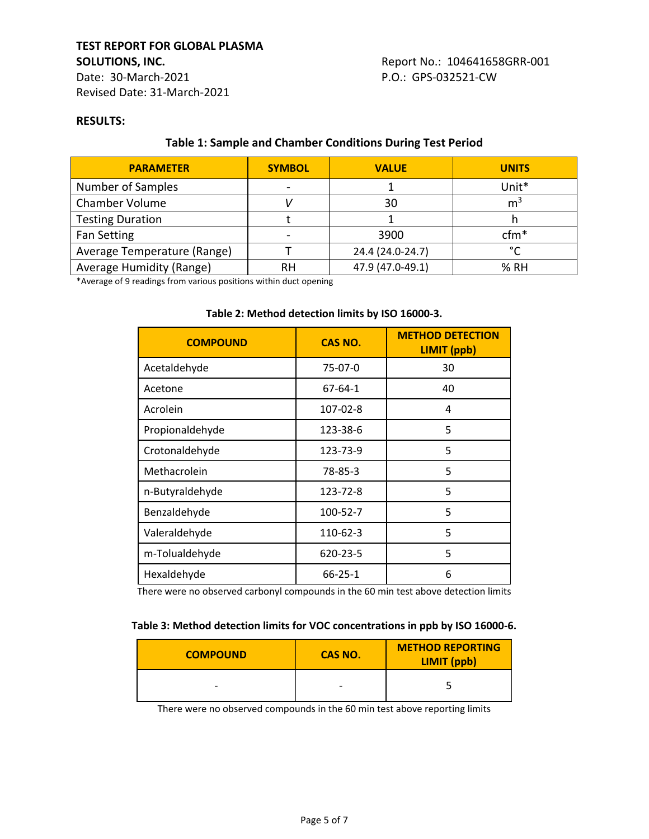### **TEST REPORT FOR GLOBAL PLASMA SOLUTIONS, INC. Report No.: 104641658GRR-001** Date: 30-March-2021 P.O.: GPS-032521-CW

Revised Date: 31-March-2021

#### **RESULTS:**

# **Table 1: Sample and Chamber Conditions During Test Period**

| <b>PARAMETER</b>            | <b>SYMBOL</b> | <b>VALUE</b>     | <b>UNITS</b>   |
|-----------------------------|---------------|------------------|----------------|
| Number of Samples           |               |                  | Unit*          |
| Chamber Volume              |               | 30               | m <sup>3</sup> |
| <b>Testing Duration</b>     |               |                  |                |
| Fan Setting                 |               | 3900             | $cfm*$         |
| Average Temperature (Range) |               | 24.4 (24.0-24.7) | $\sim$         |
| Average Humidity (Range)    | RН            | 47.9 (47.0-49.1) | % RH           |

\*Average of 9 readings from various positions within duct opening

#### **Table 2: Method detection limits by ISO 16000-3.**

| <b>COMPOUND</b> | <b>CAS NO.</b> | <b>METHOD DETECTION</b><br><b>LIMIT</b> (ppb) |  |
|-----------------|----------------|-----------------------------------------------|--|
| Acetaldehyde    | 75-07-0        | 30                                            |  |
| Acetone         | $67 - 64 - 1$  | 40                                            |  |
| Acrolein        | 107-02-8       | 4                                             |  |
| Propionaldehyde | 123-38-6       | 5                                             |  |
| Crotonaldehyde  | 123-73-9       | 5                                             |  |
| Methacrolein    | 78-85-3        | 5                                             |  |
| n-Butyraldehyde | 123-72-8       | 5                                             |  |
| Benzaldehyde    | 100-52-7       | 5                                             |  |
| Valeraldehyde   | 110-62-3       | 5                                             |  |
| m-Tolualdehyde  | 620-23-5       | 5                                             |  |
| Hexaldehyde     | $66 - 25 - 1$  | 6                                             |  |

There were no observed carbonyl compounds in the 60 min test above detection limits

| <b>COMPOUND</b>          | CAS NO.                  | <b>METHOD REPORTING</b><br>LIMIT (ppb) |
|--------------------------|--------------------------|----------------------------------------|
| $\overline{\phantom{0}}$ | $\overline{\phantom{0}}$ |                                        |

There were no observed compounds in the 60 min test above reporting limits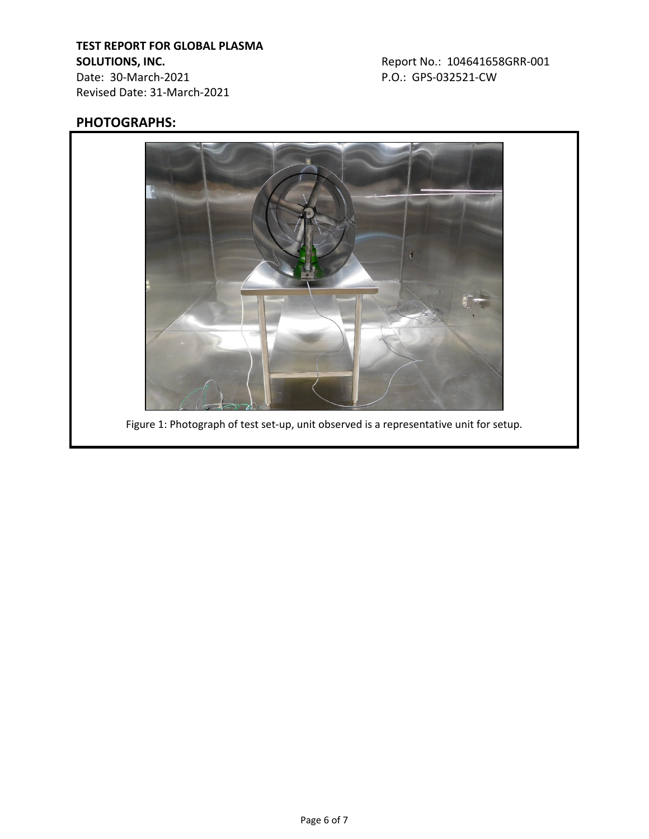# **TEST REPORT FOR GLOBAL PLASMA SOLUTIONS, INC. Report No.: 104641658GRR-001**

Date: 30-March-2021 P.O.: GPS-032521-CW Revised Date: 31-March-2021

# **PHOTOGRAPHS:**



Figure 1: Photograph of test set-up, unit observed is a representative unit for setup.